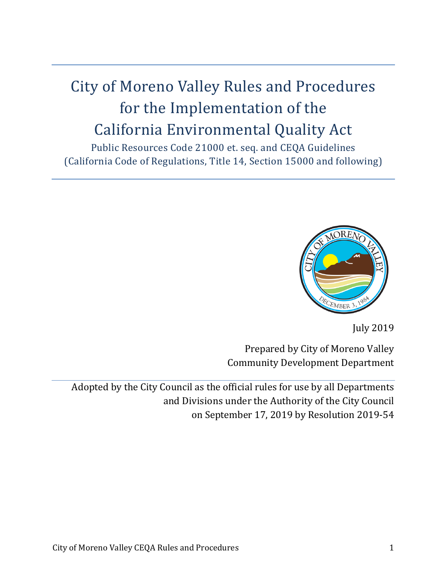# City of Moreno Valley Rules and Procedures for the Implementation of the California Environmental Quality Act

Public Resources Code 21000 et. seq. and CEQA Guidelines (California Code of Regulations, Title 14, Section 15000 and following)



July 2019

Prepared by City of Moreno Valley Community Development Department

Adopted by the City Council as the official rules for use by all Departments and Divisions under the Authority of the City Council on September 17, 2019 by Resolution 2019-54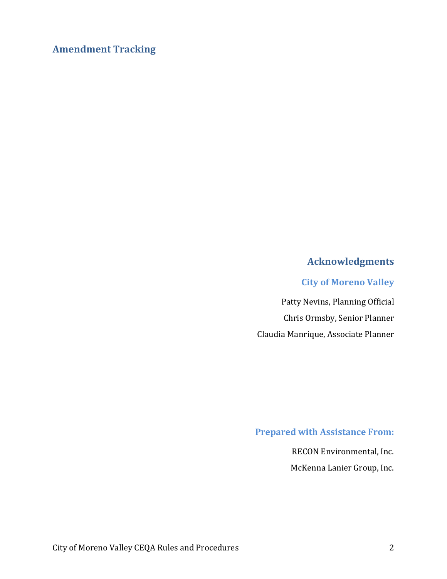## **Amendment Tracking**

## **Acknowledgments**

#### **City of Moreno Valley**

Patty Nevins, Planning Official Chris Ormsby, Senior Planner Claudia Manrique, Associate Planner

## **Prepared with Assistance From:**

RECON Environmental, Inc. McKenna Lanier Group, Inc.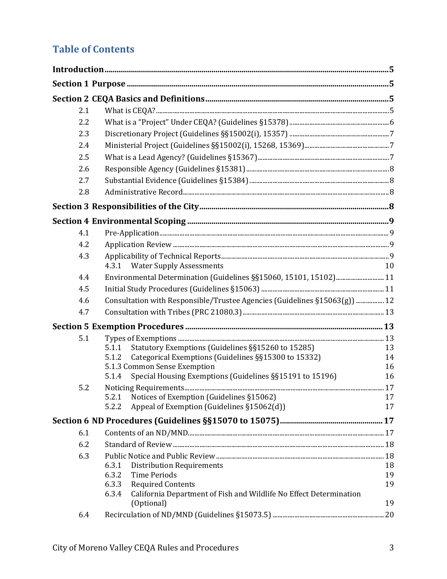# **Table of Contents**

| 2.1 |                                                                                                   |          |
|-----|---------------------------------------------------------------------------------------------------|----------|
| 2.2 |                                                                                                   |          |
| 2.3 |                                                                                                   |          |
| 2.4 |                                                                                                   |          |
| 2.5 |                                                                                                   |          |
| 2.6 |                                                                                                   |          |
| 2.7 |                                                                                                   |          |
| 2.8 |                                                                                                   |          |
|     |                                                                                                   |          |
|     |                                                                                                   |          |
| 4.1 |                                                                                                   |          |
| 4.2 |                                                                                                   |          |
| 4.3 |                                                                                                   |          |
|     | <b>Water Supply Assessments</b><br>4.3.1                                                          | 10       |
| 4.4 | Environmental Determination (Guidelines §§15060, 15101, 15102) 11                                 |          |
| 4.5 |                                                                                                   |          |
| 4.6 | Consultation with Responsible/Trustee Agencies (Guidelines §15063(g))  12                         |          |
| 4.7 |                                                                                                   |          |
|     |                                                                                                   |          |
| 5.1 |                                                                                                   |          |
|     | Statutory Exemptions (Guidelines §§15260 to 15285)<br>5.1.1                                       | 13       |
|     | Categorical Exemptions (Guidelines §§15300 to 15332)<br>5.1.2                                     | 14       |
|     | 5.1.3 Common Sense Exemption<br>Special Housing Exemptions (Guidelines §§15191 to 15196)<br>5.1.4 | 16<br>16 |
| 5.2 |                                                                                                   |          |
|     | Notices of Exemption (Guidelines §15062)<br>5.2.1                                                 | 17       |
|     | Appeal of Exemption (Guidelines §15062(d))<br>5.2.2                                               | 17       |
|     |                                                                                                   |          |
| 6.1 |                                                                                                   |          |
| 6.2 |                                                                                                   |          |
| 6.3 |                                                                                                   |          |
|     | 6.3.1<br><b>Distribution Requirements</b>                                                         | 18       |
|     | 6.3.2<br><b>Time Periods</b>                                                                      | 19       |
|     | 6.3.3<br><b>Required Contents</b><br>6.3.4                                                        | 19       |
|     | California Department of Fish and Wildlife No Effect Determination<br>(Optional)                  | 19       |
| 6.4 |                                                                                                   |          |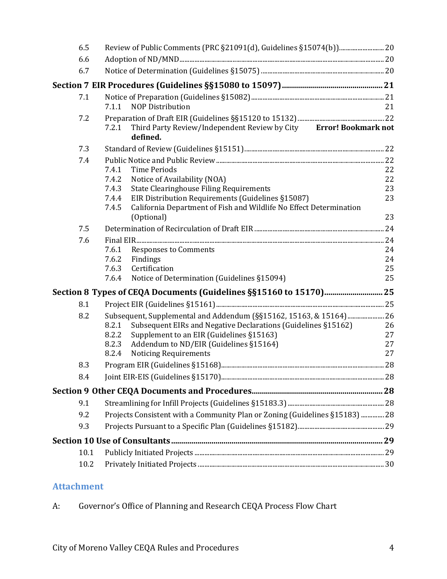| 6.6<br>6.7                                                                                |    |
|-------------------------------------------------------------------------------------------|----|
|                                                                                           |    |
|                                                                                           |    |
|                                                                                           |    |
| 7.1                                                                                       |    |
| <b>NOP Distribution</b><br>7.1.1                                                          | 21 |
| 7.2                                                                                       |    |
| Third Party Review/Independent Review by City Error! Bookmark not<br>7.2.1<br>defined.    |    |
| 7.3                                                                                       |    |
| 7.4                                                                                       |    |
| 7.4.1<br><b>Time Periods</b>                                                              | 22 |
| 7.4.2<br>Notice of Availability (NOA)                                                     | 22 |
| <b>State Clearinghouse Filing Requirements</b><br>7.4.3                                   | 23 |
| EIR Distribution Requirements (Guidelines §15087)<br>7.4.4                                | 23 |
| California Department of Fish and Wildlife No Effect Determination<br>7.4.5<br>(Optional) | 23 |
| 7.5                                                                                       |    |
| 7.6                                                                                       |    |
| 7.6.1<br><b>Responses to Comments</b>                                                     | 24 |
| 7.6.2<br>Findings                                                                         | 24 |
| 7.6.3<br>Certification                                                                    | 25 |
| Notice of Determination (Guidelines §15094)<br>7.6.4                                      | 25 |
|                                                                                           |    |
| 8.1                                                                                       |    |
| Subsequent, Supplemental and Addendum (§§15162, 15163, & 15164) 26<br>8.2                 |    |
| Subsequent EIRs and Negative Declarations (Guidelines §15162)<br>8.2.1                    | 26 |
| Supplement to an EIR (Guidelines §15163)<br>8.2.2                                         | 27 |
| Addendum to ND/EIR (Guidelines §15164)<br>8.2.3                                           | 27 |
| <b>Noticing Requirements</b><br>8.2.4                                                     | 27 |
| 8.3                                                                                       |    |
| 8.4                                                                                       |    |
|                                                                                           |    |
| 9.1                                                                                       |    |
| Projects Consistent with a Community Plan or Zoning (Guidelines §15183)  28<br>9.2        |    |
| 9.3                                                                                       |    |
|                                                                                           |    |
| 10.1                                                                                      |    |
| 10.2                                                                                      |    |

# **Attachment**

| Governor's Office of Planning and Research CEQA Process Flow Chart<br>А. |
|--------------------------------------------------------------------------|
|--------------------------------------------------------------------------|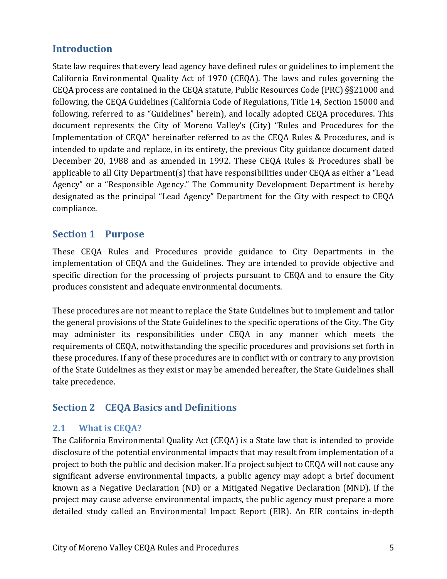## **Introduction**

State law requires that every lead agency have defined rules or guidelines to implement the California Environmental Quality Act of 1970 (CEQA). The laws and rules governing the CEQA process are contained in the CEQA statute, Public Resources Code (PRC) §§21000 and following, the CEQA Guidelines (California Code of Regulations, Title 14, Section 15000 and following, referred to as "Guidelines" herein), and locally adopted CEQA procedures. This document represents the City of Moreno Valley's (City) "Rules and Procedures for the Implementation of CEQA" hereinafter referred to as the CEQA Rules & Procedures, and is intended to update and replace, in its entirety, the previous City guidance document dated December 20, 1988 and as amended in 1992. These CEQA Rules & Procedures shall be applicable to all City Department(s) that have responsibilities under CEQA as either a "Lead Agency" or a "Responsible Agency." The Community Development Department is hereby designated as the principal "Lead Agency" Department for the City with respect to CEQA compliance.

## **Section 1 Purpose**

These CEQA Rules and Procedures provide guidance to City Departments in the implementation of CEQA and the Guidelines. They are intended to provide objective and specific direction for the processing of projects pursuant to CEQA and to ensure the City produces consistent and adequate environmental documents.

These procedures are not meant to replace the State Guidelines but to implement and tailor the general provisions of the State Guidelines to the specific operations of the City. The City may administer its responsibilities under CEQA in any manner which meets the requirements of CEQA, notwithstanding the specific procedures and provisions set forth in these procedures. If any of these procedures are in conflict with or contrary to any provision of the State Guidelines as they exist or may be amended hereafter, the State Guidelines shall take precedence.

# **Section 2 CEQA Basics and Definitions**

## **2.1 What is CEQA?**

The California Environmental Quality Act (CEQA) is a State law that is intended to provide disclosure of the potential environmental impacts that may result from implementation of a project to both the public and decision maker. If a project subject to CEQA will not cause any significant adverse environmental impacts, a public agency may adopt a brief document known as a Negative Declaration (ND) or a Mitigated Negative Declaration (MND). If the project may cause adverse environmental impacts, the public agency must prepare a more detailed study called an Environmental Impact Report (EIR). An EIR contains in-depth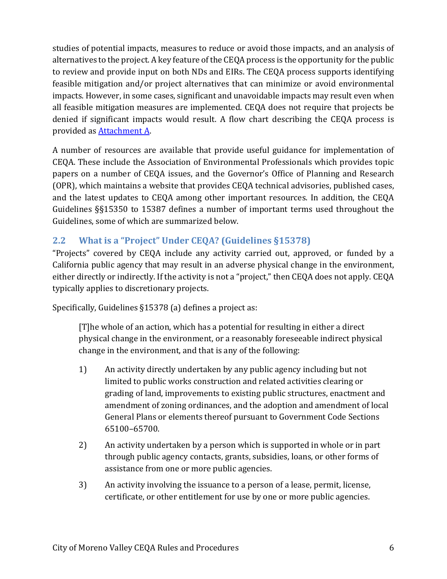studies of potential impacts, measures to reduce or avoid those impacts, and an analysis of alternatives to the project. A key feature of the CEQA process is the opportunity for the public to review and provide input on both NDs and EIRs. The CEQA process supports identifying feasible mitigation and/or project alternatives that can minimize or avoid environmental impacts. However, in some cases, significant and unavoidable impacts may result even when all feasible mitigation measures are implemented. CEQA does not require that projects be denied if significant impacts would result. A flow chart describing the CEQA process is provided as [Attachment A.](#page-30-0)

A number of resources are available that provide useful guidance for implementation of CEQA. These include the Association of Environmental Professionals which provides topic papers on a number of CEQA issues, and the Governor's Office of Planning and Research (OPR), which maintains a website that provides CEQA technical advisories, published cases, and the latest updates to CEQA among other important resources. In addition, the CEQA Guidelines §§15350 to 15387 defines a number of important terms used throughout the Guidelines, some of which are summarized below.

## **2.2 What is a "Project" Under CEQA? (Guidelines §15378)**

"Projects" covered by CEQA include any activity carried out, approved, or funded by a California public agency that may result in an adverse physical change in the environment, either directly or indirectly. If the activity is not a "project," then CEQA does not apply. CEQA typically applies to discretionary projects.

Specifically, Guidelines §15378 (a) defines a project as:

[T]he whole of an action, which has a potential for resulting in either a direct physical change in the environment, or a reasonably foreseeable indirect physical change in the environment, and that is any of the following:

- 1) An activity directly undertaken by any public agency including but not limited to public works construction and related activities clearing or grading of land, improvements to existing public structures, enactment and amendment of zoning ordinances, and the adoption and amendment of local General Plans or elements thereof pursuant to Government Code Sections 65100–65700.
- 2) An activity undertaken by a person which is supported in whole or in part through public agency contacts, grants, subsidies, loans, or other forms of assistance from one or more public agencies.
- 3) An activity involving the issuance to a person of a lease, permit, license, certificate, or other entitlement for use by one or more public agencies.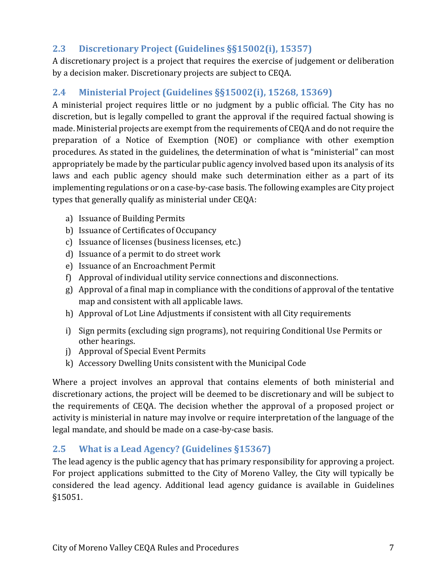## **2.3 Discretionary Project (Guidelines §§15002(i), 15357)**

A discretionary project is a project that requires the exercise of judgement or deliberation by a decision maker. Discretionary projects are subject to CEQA.

## **2.4 Ministerial Project (Guidelines §§15002(i), 15268, 15369)**

A ministerial project requires little or no judgment by a public official. The City has no discretion, but is legally compelled to grant the approval if the required factual showing is made. Ministerial projects are exempt from the requirements of CEQA and do not require the preparation of a Notice of Exemption (NOE) or compliance with other exemption procedures. As stated in the guidelines, the determination of what is "ministerial" can most appropriately be made by the particular public agency involved based upon its analysis of its laws and each public agency should make such determination either as a part of its implementing regulations or on a case-by-case basis. The following examples are City project types that generally qualify as ministerial under CEQA:

- a) Issuance of Building Permits
- b) Issuance of Certificates of Occupancy
- c) Issuance of licenses (business licenses, etc.)
- d) Issuance of a permit to do street work
- e) Issuance of an Encroachment Permit
- f) Approval of individual utility service connections and disconnections.
- g) Approval of a final map in compliance with the conditions of approval of the tentative map and consistent with all applicable laws.
- h) Approval of Lot Line Adjustments if consistent with all City requirements
- i) Sign permits (excluding sign programs), not requiring Conditional Use Permits or other hearings.
- j) Approval of Special Event Permits
- k) Accessory Dwelling Units consistent with the Municipal Code

Where a project involves an approval that contains elements of both ministerial and discretionary actions, the project will be deemed to be discretionary and will be subject to the requirements of CEQA. The decision whether the approval of a proposed project or activity is ministerial in nature may involve or require interpretation of the language of the legal mandate, and should be made on a case-by-case basis.

## **2.5 What is a Lead Agency? (Guidelines §15367)**

The lead agency is the public agency that has primary responsibility for approving a project. For project applications submitted to the City of Moreno Valley, the City will typically be considered the lead agency. Additional lead agency guidance is available in Guidelines §15051.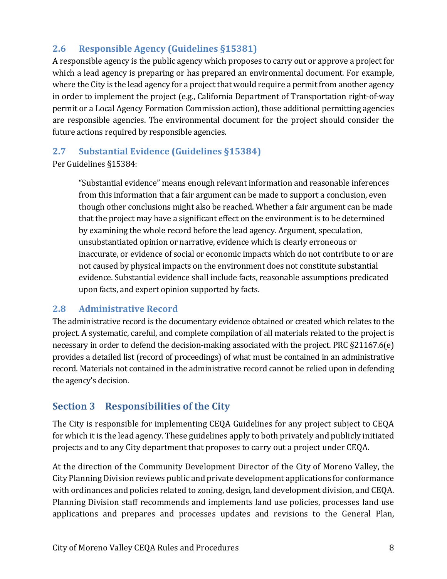## **2.6 Responsible Agency (Guidelines §15381)**

A responsible agency is the public agency which proposes to carry out or approve a project for which a lead agency is preparing or has prepared an environmental document. For example, where the City is the lead agency for a project that would require a permit from another agency in order to implement the project (e.g., California Department of Transportation right-of-way permit or a Local Agency Formation Commission action), those additional permitting agencies are responsible agencies. The environmental document for the project should consider the future actions required by responsible agencies.

## **2.7 Substantial Evidence (Guidelines §15384)**

Per Guidelines §15384:

"Substantial evidence" means enough relevant information and reasonable inferences from this information that a fair argument can be made to support a conclusion, even though other conclusions might also be reached. Whether a fair argument can be made that the project may have a significant effect on the environment is to be determined by examining the whole record before the lead agency. Argument, speculation, unsubstantiated opinion or narrative, evidence which is clearly erroneous or inaccurate, or evidence of social or economic impacts which do not contribute to or are not caused by physical impacts on the environment does not constitute substantial evidence. Substantial evidence shall include facts, reasonable assumptions predicated upon facts, and expert opinion supported by facts.

## **2.8 Administrative Record**

The administrative record is the documentary evidence obtained or created which relates to the project. A systematic, careful, and complete compilation of all materials related to the project is necessary in order to defend the decision-making associated with the project. PRC §21167.6(e) provides a detailed list (record of proceedings) of what must be contained in an administrative record. Materials not contained in the administrative record cannot be relied upon in defending the agency's decision.

# **Section 3 Responsibilities of the City**

The City is responsible for implementing CEQA Guidelines for any project subject to CEQA for which it is the lead agency. These guidelines apply to both privately and publicly initiated projects and to any City department that proposes to carry out a project under CEQA.

At the direction of the Community Development Director of the City of Moreno Valley, the City Planning Division reviews public and private development applications for conformance with ordinances and policies related to zoning, design, land development division, and CEQA. Planning Division staff recommends and implements land use policies, processes land use applications and prepares and processes updates and revisions to the General Plan,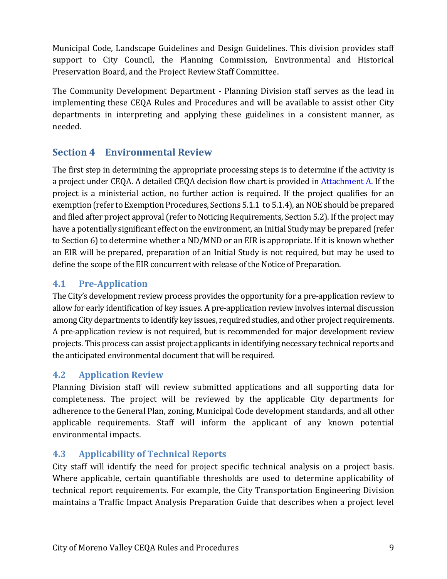Municipal Code, Landscape Guidelines and Design Guidelines. This division provides staff support to City Council, the Planning Commission, Environmental and Historical Preservation Board, and the Project Review Staff Committee.

The Community Development Department - Planning Division staff serves as the lead in implementing these CEQA Rules and Procedures and will be available to assist other City departments in interpreting and applying these guidelines in a consistent manner, as needed.

## **Section 4 Environmental Review**

The first step in determining the appropriate processing steps is to determine if the activity is a project under CEQA. A detailed CEQA decision flow chart is provided in [Attachment A.](#page-30-0) If the project is a ministerial action, no further action is required. If the project qualifies for an exemption (refer to Exemption Procedures, Sections 5.1.1 to 5.1.4), an NOE should be prepared and filed after project approval (refer to Noticing Requirements, Section 5.2). If the project may have a potentially significant effect on the environment, an Initial Study may be prepared (refer to Section 6) to determine whether a ND/MND or an EIR is appropriate. If it is known whether an EIR will be prepared, preparation of an Initial Study is not required, but may be used to define the scope of the EIR concurrent with release of the Notice of Preparation.

## **4.1 Pre-Application**

The City's development review process provides the opportunity for a pre-application review to allow for early identification of key issues. A pre-application review involves internal discussion among City departments to identify key issues, required studies, and other project requirements. A pre-application review is not required, but is recommended for major development review projects. This process can assist project applicants in identifying necessary technical reports and the anticipated environmental document that will be required.

## **4.2 Application Review**

Planning Division staff will review submitted applications and all supporting data for completeness. The project will be reviewed by the applicable City departments for adherence to the General Plan, zoning, Municipal Code development standards, and all other applicable requirements. Staff will inform the applicant of any known potential environmental impacts.

## **4.3 Applicability of Technical Reports**

City staff will identify the need for project specific technical analysis on a project basis. Where applicable, certain quantifiable thresholds are used to determine applicability of technical report requirements. For example, the City Transportation Engineering Division maintains a Traffic Impact Analysis Preparation Guide that describes when a project level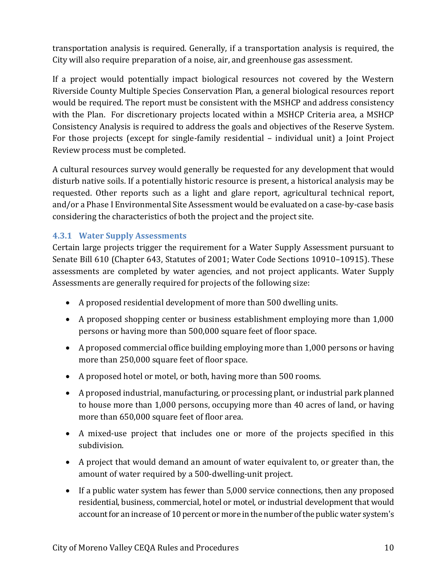transportation analysis is required. Generally, if a transportation analysis is required, the City will also require preparation of a noise, air, and greenhouse gas assessment.

If a project would potentially impact biological resources not covered by the Western Riverside County Multiple Species Conservation Plan, a general biological resources report would be required. The report must be consistent with the MSHCP and address consistency with the Plan. For discretionary projects located within a MSHCP Criteria area, a MSHCP Consistency Analysis is required to address the goals and objectives of the Reserve System. For those projects (except for single-family residential – individual unit) a Joint Project Review process must be completed.

A cultural resources survey would generally be requested for any development that would disturb native soils. If a potentially historic resource is present, a historical analysis may be requested. Other reports such as a light and glare report, agricultural technical report, and/or a Phase I Environmental Site Assessment would be evaluated on a case-by-case basis considering the characteristics of both the project and the project site.

#### **4.3.1 Water Supply Assessments**

Certain large projects trigger the requirement for a Water Supply Assessment pursuant to Senate Bill 610 (Chapter 643, Statutes of 2001; Water Code Sections 10910–10915). These assessments are completed by water agencies, and not project applicants. Water Supply Assessments are generally required for projects of the following size:

- A proposed residential development of more than 500 dwelling units.
- A proposed shopping center or business establishment employing more than 1,000 persons or having more than 500,000 square feet of floor space.
- A proposed commercial office building employing more than 1,000 persons or having more than 250,000 square feet of floor space.
- A proposed hotel or motel, or both, having more than 500 rooms.
- A proposed industrial, manufacturing, or processing plant, or industrial park planned to house more than 1,000 persons, occupying more than 40 acres of land, or having more than 650,000 square feet of floor area.
- A mixed-use project that includes one or more of the projects specified in this subdivision.
- A project that would demand an amount of water equivalent to, or greater than, the amount of water required by a 500-dwelling-unit project.
- If a public water system has fewer than 5,000 service connections, then any proposed residential, business, commercial, hotel or motel, or industrial development that would account for an increase of 10 percent or more in the number of the public water system's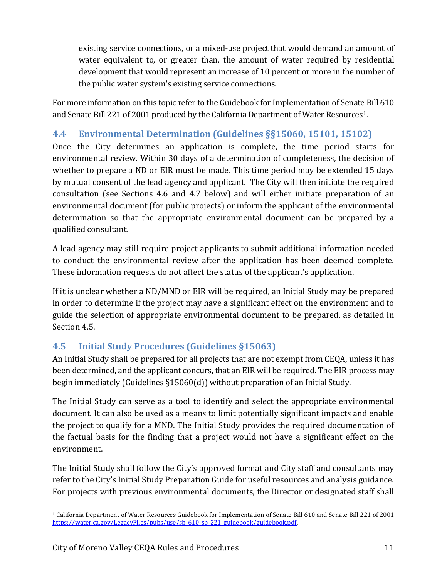existing service connections, or a mixed-use project that would demand an amount of water equivalent to, or greater than, the amount of water required by residential development that would represent an increase of 10 percent or more in the number of the public water system's existing service connections.

For more information on this topic refer to the Guidebook for Implementation of Senate Bill 610 and Senate Bill 22[1](#page-10-0) of 2001 produced by the California Department of Water Resources<sup>1</sup>.

## **4.4 Environmental Determination (Guidelines §§15060, 15101, 15102)**

Once the City determines an application is complete, the time period starts for environmental review. Within 30 days of a determination of completeness, the decision of whether to prepare a ND or EIR must be made. This time period may be extended 15 days by mutual consent of the lead agency and applicant. The City will then initiate the required consultation (see Sections 4.6 and 4.7 below) and will either initiate preparation of an environmental document (for public projects) or inform the applicant of the environmental determination so that the appropriate environmental document can be prepared by a qualified consultant.

A lead agency may still require project applicants to submit additional information needed to conduct the environmental review after the application has been deemed complete. These information requests do not affect the status of the applicant's application.

If it is unclear whether a ND/MND or EIR will be required, an Initial Study may be prepared in order to determine if the project may have a significant effect on the environment and to guide the selection of appropriate environmental document to be prepared, as detailed in Section 4.5.

## **4.5 Initial Study Procedures (Guidelines §15063)**

An Initial Study shall be prepared for all projects that are not exempt from CEQA, unless it has been determined, and the applicant concurs, that an EIR will be required. The EIR process may begin immediately (Guidelines §15060(d)) without preparation of an Initial Study.

The Initial Study can serve as a tool to identify and select the appropriate environmental document. It can also be used as a means to limit potentially significant impacts and enable the project to qualify for a MND. The Initial Study provides the required documentation of the factual basis for the finding that a project would not have a significant effect on the environment.

The Initial Study shall follow the City's approved format and City staff and consultants may refer to the City's Initial Study Preparation Guide for useful resources and analysis guidance. For projects with previous environmental documents, the Director or designated staff shall

<span id="page-10-0"></span> <sup>1</sup> California Department of Water Resources Guidebook for Implementation of Senate Bill 610 and Senate Bill 221 of 2001 [https://water.ca.gov/LegacyFiles/pubs/use/sb\\_610\\_sb\\_221\\_guidebook/guidebook.pdf.](https://water.ca.gov/LegacyFiles/pubs/use/sb_610_sb_221_guidebook/guidebook.pdf)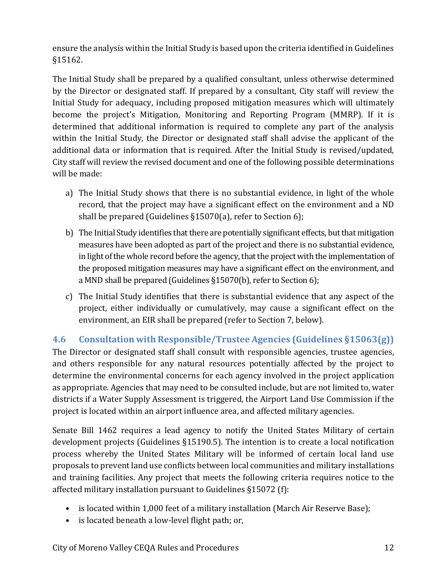ensure the analysis within the Initial Study is based upon the criteria identified in Guidelines §15162.

The Initial Study shall be prepared by a qualified consultant, unless otherwise determined by the Director or designated staff. If prepared by a consultant, City staff will review the Initial Study for adequacy, including proposed mitigation measures which will ultimately become the project's Mitigation, Monitoring and Reporting Program (MMRP). If it is determined that additional information is required to complete any part of the analysis within the Initial Study, the Director or designated staff shall advise the applicant of the additional data or information that is required. After the Initial Study is revised/updated, City staff will review the revised document and one of the following possible determinations will be made:

- a) The Initial Study shows that there is no substantial evidence, in light of the whole record, that the project may have a significant effect on the environment and a ND shall be prepared (Guidelines §15070(a), refer to Section 6);
- b) The Initial Study identifies that there are potentially significant effects, but that mitigation measures have been adopted as part of the project and there is no substantial evidence, in light of the whole record before the agency, that the project with the implementation of the proposed mitigation measures may have a significant effect on the environment, and a MND shall be prepared (Guidelines §15070(b), refer to Section 6);
- c) The Initial Study identifies that there is substantial evidence that any aspect of the project, either individually or cumulatively, may cause a significant effect on the environment, an EIR shall be prepared (refer to Section 7, below).

## **4.6 Consultation with Responsible/Trustee Agencies (Guidelines §15063(g))**

The Director or designated staff shall consult with responsible agencies, trustee agencies, and others responsible for any natural resources potentially affected by the project to determine the environmental concerns for each agency involved in the project application as appropriate. Agencies that may need to be consulted include, but are not limited to, water districts if a Water Supply Assessment is triggered, the Airport Land Use Commission if the project is located within an airport influence area, and affected military agencies.

Senate Bill 1462 requires a lead agency to notify the United States Military of certain development projects (Guidelines §15190.5). The intention is to create a local notification process whereby the United States Military will be informed of certain local land use proposals to prevent land use conflicts between local communities and military installations and training facilities. Any project that meets the following criteria requires notice to the affected military installation pursuant to Guidelines §15072 (f):

- is located within 1,000 feet of a military installation (March Air Reserve Base);
- is located beneath a low-level flight path; or,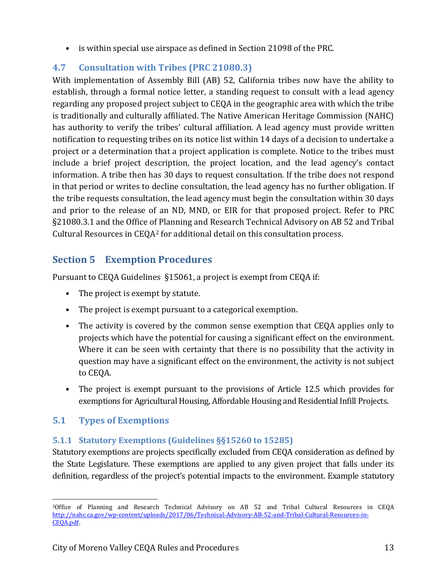• is within special use airspace as defined in Section 21098 of the PRC.

## **4.7 Consultation with Tribes (PRC 21080.3)**

With implementation of Assembly Bill (AB) 52, California tribes now have the ability to establish, through a formal notice letter, a standing request to consult with a lead agency regarding any proposed project subject to CEQA in the geographic area with which the tribe is traditionally and culturally affiliated. The Native American Heritage Commission (NAHC) has authority to verify the tribes' cultural affiliation. A lead agency must provide written notification to requesting tribes on its notice list within 14 days of a decision to undertake a project or a determination that a project application is complete. Notice to the tribes must include a brief project description, the project location, and the lead agency's contact information. A tribe then has 30 days to request consultation. If the tribe does not respond in that period or writes to decline consultation, the lead agency has no further obligation. If the tribe requests consultation, the lead agency must begin the consultation within 30 days and prior to the release of an ND, MND, or EIR for that proposed project. Refer to PRC §21080.3.1 and the Office of Planning and Research Technical Advisory on AB 52 and Tribal Cultural Resources in CEQ[A2](#page-12-0) for additional detail on this consultation process.

# **Section 5 Exemption Procedures**

Pursuant to CEQA Guidelines §15061, a project is exempt from CEQA if:

- The project is exempt by statute.
- The project is exempt pursuant to a categorical exemption.
- The activity is covered by the common sense exemption that CEQA applies only to projects which have the potential for causing a significant effect on the environment. Where it can be seen with certainty that there is no possibility that the activity in question may have a significant effect on the environment, the activity is not subject to CEQA.
- The project is exempt pursuant to the provisions of Article 12.5 which provides for exemptions for Agricultural Housing, Affordable Housing and Residential Infill Projects.

## **5.1 Types of Exemptions**

## **5.1.1 Statutory Exemptions (Guidelines §§15260 to 15285)**

Statutory exemptions are projects specifically excluded from CEQA consideration as defined by the State Legislature. These exemptions are applied to any given project that falls under its definition, regardless of the project's potential impacts to the environment. Example statutory

<span id="page-12-0"></span> <sup>2</sup>Office of Planning and Research Technical Advisory on AB 52 and Tribal Cultural Resources in CEQA [http://nahc.ca.gov/wp-content/uploads/2017/06/Technical-Advisory-AB-52-and-Tribal-Cultural-Resources-in-](http://nahc.ca.gov/wp-content/uploads/2017/06/Technical-Advisory-AB-52-and-Tribal-Cultural-Resources-in-CEQA.pdf)[CEQA.pdf.](http://nahc.ca.gov/wp-content/uploads/2017/06/Technical-Advisory-AB-52-and-Tribal-Cultural-Resources-in-CEQA.pdf)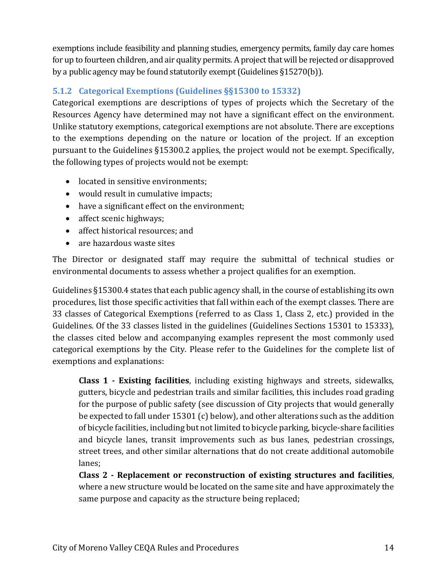exemptions include feasibility and planning studies, emergency permits, family day care homes for up to fourteen children, and air quality permits. A project that will be rejected or disapproved by a public agency may be found statutorily exempt (Guidelines §15270(b)).

## **5.1.2 Categorical Exemptions (Guidelines §§15300 to 15332)**

Categorical exemptions are descriptions of types of projects which the Secretary of the Resources Agency have determined may not have a significant effect on the environment. Unlike statutory exemptions, categorical exemptions are not absolute. There are exceptions to the exemptions depending on the nature or location of the project. If an exception pursuant to the Guidelines §15300.2 applies, the project would not be exempt. Specifically, the following types of projects would not be exempt:

- located in sensitive environments;
- would result in cumulative impacts;
- have a significant effect on the environment;
- affect scenic highways;
- affect historical resources: and
- are hazardous waste sites

The Director or designated staff may require the submittal of technical studies or environmental documents to assess whether a project qualifies for an exemption.

Guidelines §15300.4 states that each public agency shall, in the course of establishing its own procedures, list those specific activities that fall within each of the exempt classes. There are 33 classes of Categorical Exemptions (referred to as Class 1, Class 2, etc.) provided in the Guidelines. Of the 33 classes listed in the guidelines (Guidelines Sections 15301 to 15333), the classes cited below and accompanying examples represent the most commonly used categorical exemptions by the City. Please refer to the Guidelines for the complete list of exemptions and explanations:

**Class 1 - Existing facilities**, including existing highways and streets, sidewalks, gutters, bicycle and pedestrian trails and similar facilities, this includes road grading for the purpose of public safety (see discussion of City projects that would generally be expected to fall under 15301 (c) below), and other alterations such as the addition of bicycle facilities, including but not limited to bicycle parking, bicycle-share facilities and bicycle lanes, transit improvements such as bus lanes, pedestrian crossings, street trees, and other similar alternations that do not create additional automobile lanes;

**Class 2 - Replacement or reconstruction of existing structures and facilities**, where a new structure would be located on the same site and have approximately the same purpose and capacity as the structure being replaced;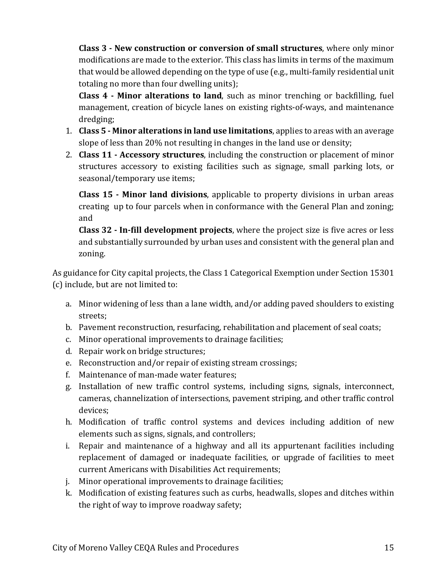**Class 3 - New construction or conversion of small structures**, where only minor modifications are made to the exterior. This class has limits in terms of the maximum that would be allowed depending on the type of use (e.g., multi-family residential unit totaling no more than four dwelling units);

**Class 4 - Minor alterations to land**, such as minor trenching or backfilling, fuel management, creation of bicycle lanes on existing rights-of-ways, and maintenance dredging;

- 1. **Class 5 - Minor alterations in land use limitations**, applies to areas with an average slope of less than 20% not resulting in changes in the land use or density;
- 2. **Class 11 - Accessory structures**, including the construction or placement of minor structures accessory to existing facilities such as signage, small parking lots, or seasonal/temporary use items;

**Class 15 - Minor land divisions**, applicable to property divisions in urban areas creating up to four parcels when in conformance with the General Plan and zoning; and

**Class 32 - In-fill development projects**, where the project size is five acres or less and substantially surrounded by urban uses and consistent with the general plan and zoning.

As guidance for City capital projects, the Class 1 Categorical Exemption under Section 15301 (c) include, but are not limited to:

- a. Minor widening of less than a lane width, and/or adding paved shoulders to existing streets;
- b. Pavement reconstruction, resurfacing, rehabilitation and placement of seal coats;
- c. Minor operational improvements to drainage facilities;
- d. Repair work on bridge structures;
- e. Reconstruction and/or repair of existing stream crossings;
- f. Maintenance of man-made water features;
- g. Installation of new traffic control systems, including signs, signals, interconnect, cameras, channelization of intersections, pavement striping, and other traffic control devices;
- h. Modification of traffic control systems and devices including addition of new elements such as signs, signals, and controllers;
- i. Repair and maintenance of a highway and all its appurtenant facilities including replacement of damaged or inadequate facilities, or upgrade of facilities to meet current Americans with Disabilities Act requirements;
- j. Minor operational improvements to drainage facilities;
- k. Modification of existing features such as curbs, headwalls, slopes and ditches within the right of way to improve roadway safety;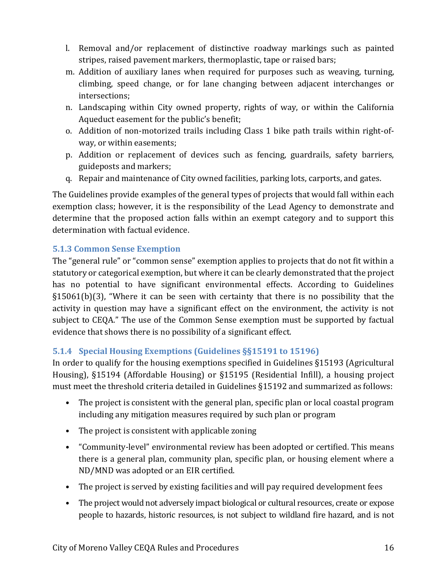- l. Removal and/or replacement of distinctive roadway markings such as painted stripes, raised pavement markers, thermoplastic, tape or raised bars;
- m. Addition of auxiliary lanes when required for purposes such as weaving, turning, climbing, speed change, or for lane changing between adjacent interchanges or intersections;
- n. Landscaping within City owned property, rights of way, or within the California Aqueduct easement for the public's benefit;
- o. Addition of non-motorized trails including Class 1 bike path trails within right-ofway, or within easements;
- p. Addition or replacement of devices such as fencing, guardrails, safety barriers, guideposts and markers;
- q. Repair and maintenance of City owned facilities, parking lots, carports, and gates.

The Guidelines provide examples of the general types of projects that would fall within each exemption class; however, it is the responsibility of the Lead Agency to demonstrate and determine that the proposed action falls within an exempt category and to support this determination with factual evidence.

## **5.1.3 Common Sense Exemption**

The "general rule" or "common sense" exemption applies to projects that do not fit within a statutory or categorical exemption, but where it can be clearly demonstrated that the project has no potential to have significant environmental effects. According to Guidelines §15061(b)(3), "Where it can be seen with certainty that there is no possibility that the activity in question may have a significant effect on the environment, the activity is not subject to CEQA." The use of the Common Sense exemption must be supported by factual evidence that shows there is no possibility of a significant effect.

## **5.1.4 Special Housing Exemptions (Guidelines §§15191 to 15196)**

In order to qualify for the housing exemptions specified in Guidelines §15193 (Agricultural Housing), §15194 (Affordable Housing) or §15195 (Residential Infill), a housing project must meet the threshold criteria detailed in Guidelines §15192 and summarized as follows:

- The project is consistent with the general plan, specific plan or local coastal program including any mitigation measures required by such plan or program
- The project is consistent with applicable zoning
- "Community-level" environmental review has been adopted or certified. This means there is a general plan, community plan, specific plan, or housing element where a ND/MND was adopted or an EIR certified.
- The project is served by existing facilities and will pay required development fees
- The project would not adversely impact biological or cultural resources, create or expose people to hazards, historic resources, is not subject to wildland fire hazard, and is not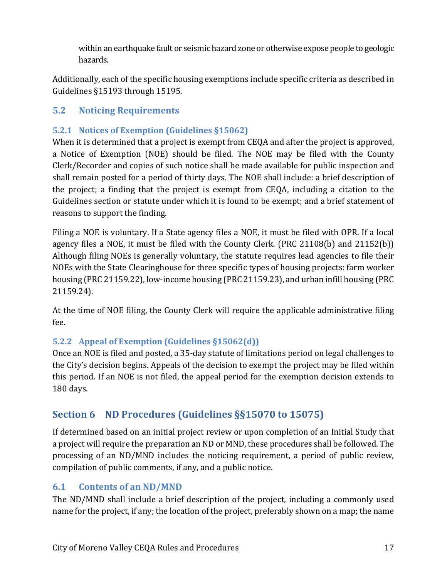within an earthquake fault or seismic hazard zone or otherwise expose people to geologic hazards.

Additionally, each of the specific housing exemptions include specific criteria as described in Guidelines §15193 through 15195.

## **5.2 Noticing Requirements**

#### **5.2.1 Notices of Exemption (Guidelines §15062)**

When it is determined that a project is exempt from CEQA and after the project is approved, a Notice of Exemption (NOE) should be filed. The NOE may be filed with the County Clerk/Recorder and copies of such notice shall be made available for public inspection and shall remain posted for a period of thirty days. The NOE shall include: a brief description of the project; a finding that the project is exempt from CEQA, including a citation to the Guidelines section or statute under which it is found to be exempt; and a brief statement of reasons to support the finding.

Filing a NOE is voluntary. If a State agency files a NOE, it must be filed with OPR. If a local agency files a NOE, it must be filed with the County Clerk. (PRC 21108(b) and 21152(b)) Although filing NOEs is generally voluntary, the statute requires lead agencies to file their NOEs with the State Clearinghouse for three specific types of housing projects: farm worker housing (PRC 21159.22), low-income housing (PRC 21159.23), and urban infill housing (PRC 21159.24).

At the time of NOE filing, the County Clerk will require the applicable administrative filing fee.

## **5.2.2 Appeal of Exemption (Guidelines §15062(d))**

Once an NOE is filed and posted, a 35-day statute of limitations period on legal challenges to the City's decision begins. Appeals of the decision to exempt the project may be filed within this period. If an NOE is not filed, the appeal period for the exemption decision extends to 180 days.

# **Section 6 ND Procedures (Guidelines §§15070 to 15075)**

If determined based on an initial project review or upon completion of an Initial Study that a project will require the preparation an ND or MND, these procedures shall be followed. The processing of an ND/MND includes the noticing requirement, a period of public review, compilation of public comments, if any, and a public notice.

## **6.1 Contents of an ND/MND**

The ND/MND shall include a brief description of the project, including a commonly used name for the project, if any; the location of the project, preferably shown on a map; the name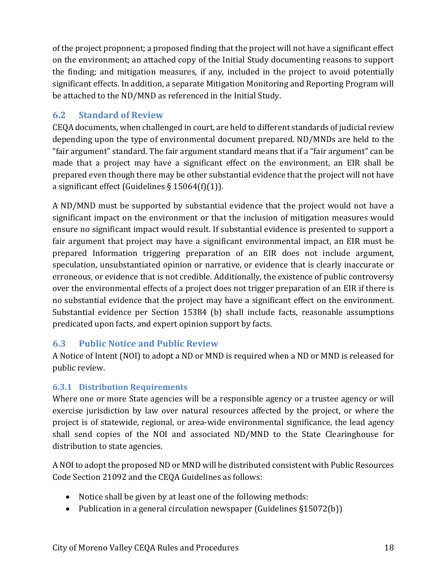of the project proponent; a proposed finding that the project will not have a significant effect on the environment; an attached copy of the Initial Study documenting reasons to support the finding; and mitigation measures, if any, included in the project to avoid potentially significant effects. In addition, a separate Mitigation Monitoring and Reporting Program will be attached to the ND/MND as referenced in the Initial Study.

## **6.2 Standard of Review**

CEQA documents, when challenged in court, are held to different standards of judicial review depending upon the type of environmental document prepared. ND/MNDs are held to the "fair argument" standard. The fair argument standard means that if a "fair argument" can be made that a project may have a significant effect on the environment, an EIR shall be prepared even though there may be other substantial evidence that the project will not have a significant effect (Guidelines  $\S 15064(f)(1)$ ).

A ND/MND must be supported by substantial evidence that the project would not have a significant impact on the environment or that the inclusion of mitigation measures would ensure no significant impact would result. If substantial evidence is presented to support a fair argument that project may have a significant environmental impact, an EIR must be prepared Information triggering preparation of an EIR does not include argument, speculation, unsubstantiated opinion or narrative, or evidence that is clearly inaccurate or erroneous, or evidence that is not credible. Additionally, the existence of public controversy over the environmental effects of a project does not trigger preparation of an EIR if there is no substantial evidence that the project may have a significant effect on the environment. Substantial evidence per Section 15384 (b) shall include facts, reasonable assumptions predicated upon facts, and expert opinion support by facts.

## **6.3 Public Notice and Public Review**

A Notice of Intent (NOI) to adopt a ND or MND is required when a ND or MND is released for public review.

## **6.3.1 Distribution Requirements**

Where one or more State agencies will be a responsible agency or a trustee agency or will exercise jurisdiction by law over natural resources affected by the project, or where the project is of statewide, regional, or area-wide environmental significance, the lead agency shall send copies of the NOI and associated ND/MND to the State Clearinghouse for distribution to state agencies.

A NOI to adopt the proposed ND or MND will be distributed consistent with Public Resources Code Section 21092 and the CEQA Guidelines as follows:

- Notice shall be given by at least one of the following methods:
- Publication in a general circulation newspaper (Guidelines §15072(b))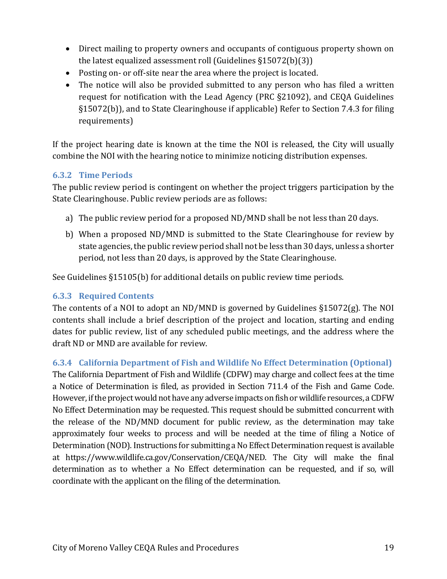- Direct mailing to property owners and occupants of contiguous property shown on the latest equalized assessment roll (Guidelines §15072(b)(3))
- Posting on- or off-site near the area where the project is located.
- The notice will also be provided submitted to any person who has filed a written request for notification with the Lead Agency (PRC §21092), and CEQA Guidelines §15072(b)), and to State Clearinghouse if applicable) Refer to Section 7.4.3 for filing requirements)

If the project hearing date is known at the time the NOI is released, the City will usually combine the NOI with the hearing notice to minimize noticing distribution expenses.

#### **6.3.2 Time Periods**

The public review period is contingent on whether the project triggers participation by the State Clearinghouse. Public review periods are as follows:

- a) The public review period for a proposed ND/MND shall be not less than 20 days.
- b) When a proposed ND/MND is submitted to the State Clearinghouse for review by state agencies, the public review period shall not be less than 30 days, unless a shorter period, not less than 20 days, is approved by the State Clearinghouse.

See Guidelines §15105(b) for additional details on public review time periods.

## **6.3.3 Required Contents**

The contents of a NOI to adopt an ND/MND is governed by Guidelines §15072(g). The NOI contents shall include a brief description of the project and location, starting and ending dates for public review, list of any scheduled public meetings, and the address where the draft ND or MND are available for review.

#### **6.3.4 California Department of Fish and Wildlife No Effect Determination (Optional)**

The California Department of Fish and Wildlife (CDFW) may charge and collect fees at the time a Notice of Determination is filed, as provided in Section 711.4 of the Fish and Game Code. However, if the project would not have any adverse impacts on fish or wildlife resources, a CDFW No Effect Determination may be requested. This request should be submitted concurrent with the release of the ND/MND document for public review, as the determination may take approximately four weeks to process and will be needed at the time of filing a Notice of Determination (NOD). Instructions for submitting a No Effect Determination request is available at https://www.wildlife.ca.gov/Conservation/CEQA/NED. The City will make the final determination as to whether a No Effect determination can be requested, and if so, will coordinate with the applicant on the filing of the determination.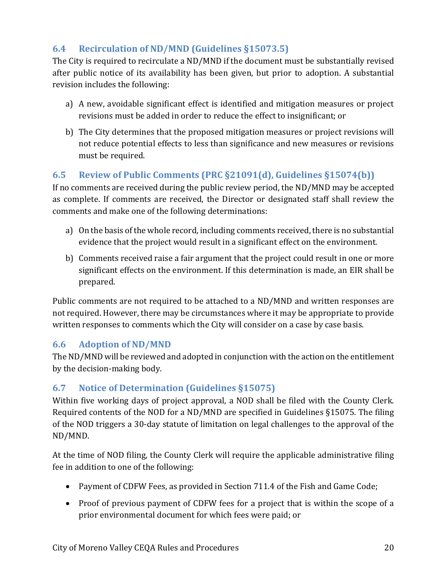## **6.4 Recirculation of ND/MND (Guidelines §15073.5)**

The City is required to recirculate a ND/MND if the document must be substantially revised after public notice of its availability has been given, but prior to adoption. A substantial revision includes the following:

- a) A new, avoidable significant effect is identified and mitigation measures or project revisions must be added in order to reduce the effect to insignificant; or
- b) The City determines that the proposed mitigation measures or project revisions will not reduce potential effects to less than significance and new measures or revisions must be required.

## **6.5 Review of Public Comments (PRC §21091(d), Guidelines §15074(b))**

If no comments are received during the public review period, the ND/MND may be accepted as complete. If comments are received, the Director or designated staff shall review the comments and make one of the following determinations:

- a) On the basis of the whole record, including comments received, there is no substantial evidence that the project would result in a significant effect on the environment.
- b) Comments received raise a fair argument that the project could result in one or more significant effects on the environment. If this determination is made, an EIR shall be prepared.

Public comments are not required to be attached to a ND/MND and written responses are not required. However, there may be circumstances where it may be appropriate to provide written responses to comments which the City will consider on a case by case basis.

## **6.6 Adoption of ND/MND**

The ND/MND will be reviewed and adopted in conjunction with the action on the entitlement by the decision-making body.

## **6.7 Notice of Determination (Guidelines §15075)**

Within five working days of project approval, a NOD shall be filed with the County Clerk. Required contents of the NOD for a ND/MND are specified in Guidelines §15075. The filing of the NOD triggers a 30-day statute of limitation on legal challenges to the approval of the ND/MND.

At the time of NOD filing, the County Clerk will require the applicable administrative filing fee in addition to one of the following:

- Payment of CDFW Fees, as provided in Section 711.4 of the Fish and Game Code;
- Proof of previous payment of CDFW fees for a project that is within the scope of a prior environmental document for which fees were paid; or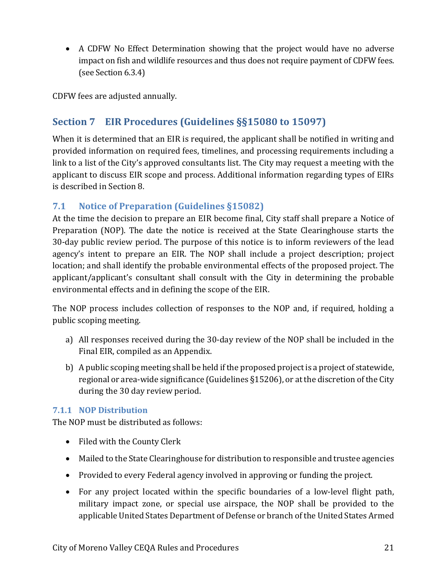• A CDFW No Effect Determination showing that the project would have no adverse impact on fish and wildlife resources and thus does not require payment of CDFW fees. (see Section 6.3.4)

CDFW fees are adjusted annually.

# **Section 7 EIR Procedures (Guidelines §§15080 to 15097)**

When it is determined that an EIR is required, the applicant shall be notified in writing and provided information on required fees, timelines, and processing requirements including a link to a list of the City's approved consultants list. The City may request a meeting with the applicant to discuss EIR scope and process. Additional information regarding types of EIRs is described in Section 8.

## **7.1 Notice of Preparation (Guidelines §15082)**

At the time the decision to prepare an EIR become final, City staff shall prepare a Notice of Preparation (NOP). The date the notice is received at the State Clearinghouse starts the 30-day public review period. The purpose of this notice is to inform reviewers of the lead agency's intent to prepare an EIR. The NOP shall include a project description; project location; and shall identify the probable environmental effects of the proposed project. The applicant/applicant's consultant shall consult with the City in determining the probable environmental effects and in defining the scope of the EIR.

The NOP process includes collection of responses to the NOP and, if required, holding a public scoping meeting.

- a) All responses received during the 30-day review of the NOP shall be included in the Final EIR, compiled as an Appendix.
- b) A public scoping meeting shall be held if the proposed project is a project of statewide, regional or area-wide significance (Guidelines §15206), or at the discretion of the City during the 30 day review period.

## **7.1.1 NOP Distribution**

The NOP must be distributed as follows:

- Filed with the County Clerk
- Mailed to the State Clearinghouse for distribution to responsible and trustee agencies
- Provided to every Federal agency involved in approving or funding the project.
- For any project located within the specific boundaries of a low-level flight path, military impact zone, or special use airspace, the NOP shall be provided to the applicable United States Department of Defense or branch of the United States Armed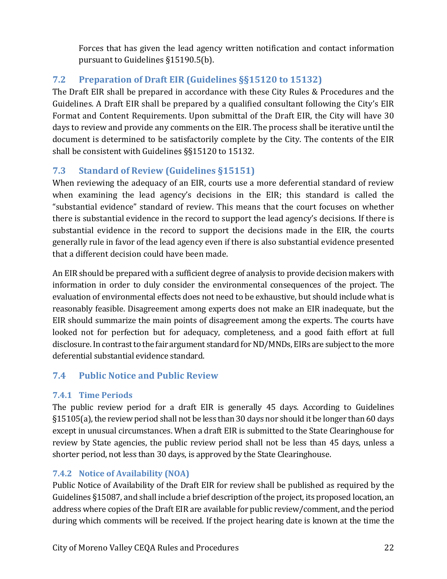Forces that has given the lead agency written notification and contact information pursuant to Guidelines §15190.5(b).

# **7.2 Preparation of Draft EIR (Guidelines §§15120 to 15132)**

The Draft EIR shall be prepared in accordance with these City Rules & Procedures and the Guidelines. A Draft EIR shall be prepared by a qualified consultant following the City's EIR Format and Content Requirements. Upon submittal of the Draft EIR, the City will have 30 days to review and provide any comments on the EIR. The process shall be iterative until the document is determined to be satisfactorily complete by the City. The contents of the EIR shall be consistent with Guidelines §§15120 to 15132.

## **7.3 Standard of Review (Guidelines §15151)**

When reviewing the adequacy of an EIR, courts use a more deferential standard of review when examining the lead agency's decisions in the EIR; this standard is called the "substantial evidence" standard of review. This means that the court focuses on whether there is substantial evidence in the record to support the lead agency's decisions. If there is substantial evidence in the record to support the decisions made in the EIR, the courts generally rule in favor of the lead agency even if there is also substantial evidence presented that a different decision could have been made.

An EIR should be prepared with a sufficient degree of analysis to provide decision makers with information in order to duly consider the environmental consequences of the project. The evaluation of environmental effects does not need to be exhaustive, but should include what is reasonably feasible. Disagreement among experts does not make an EIR inadequate, but the EIR should summarize the main points of disagreement among the experts. The courts have looked not for perfection but for adequacy, completeness, and a good faith effort at full disclosure. In contrast to the fair argument standard for ND/MNDs, EIRs are subject to the more deferential substantial evidence standard.

## **7.4 Public Notice and Public Review**

## **7.4.1 Time Periods**

The public review period for a draft EIR is generally 45 days. According to Guidelines §15105(a), the review period shall not be less than 30 days nor should it be longer than 60 days except in unusual circumstances. When a draft EIR is submitted to the State Clearinghouse for review by State agencies, the public review period shall not be less than 45 days, unless a shorter period, not less than 30 days, is approved by the State Clearinghouse.

## **7.4.2 Notice of Availability (NOA)**

Public Notice of Availability of the Draft EIR for review shall be published as required by the Guidelines §15087, and shall include a brief description of the project, its proposed location, an address where copies of the Draft EIR are available for public review/comment, and the period during which comments will be received. If the project hearing date is known at the time the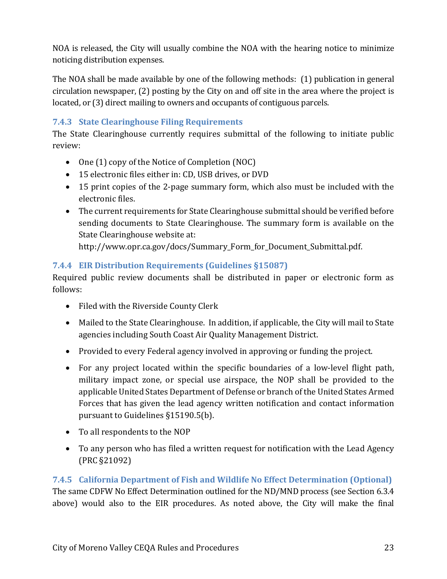NOA is released, the City will usually combine the NOA with the hearing notice to minimize noticing distribution expenses.

The NOA shall be made available by one of the following methods: (1) publication in general circulation newspaper, (2) posting by the City on and off site in the area where the project is located, or (3) direct mailing to owners and occupants of contiguous parcels.

#### **7.4.3 State Clearinghouse Filing Requirements**

The State Clearinghouse currently requires submittal of the following to initiate public review:

- One (1) copy of the Notice of Completion (NOC)
- 15 electronic files either in: CD, USB drives, or DVD
- 15 print copies of the 2-page summary form, which also must be included with the electronic files.
- The current requirements for State Clearinghouse submittal should be verified before sending documents to State Clearinghouse. The summary form is available on the State Clearinghouse website at:

http://www.opr.ca.gov/docs/Summary Form for Document Submittal.pdf.

## **7.4.4 EIR Distribution Requirements (Guidelines §15087)**

Required public review documents shall be distributed in paper or electronic form as follows:

- Filed with the Riverside County Clerk
- Mailed to the State Clearinghouse. In addition, if applicable, the City will mail to State agencies including South Coast Air Quality Management District.
- Provided to every Federal agency involved in approving or funding the project.
- For any project located within the specific boundaries of a low-level flight path, military impact zone, or special use airspace, the NOP shall be provided to the applicable United States Department of Defense or branch of the United States Armed Forces that has given the lead agency written notification and contact information pursuant to Guidelines §15190.5(b).
- To all respondents to the NOP
- To any person who has filed a written request for notification with the Lead Agency (PRC §21092)

## **7.4.5 California Department of Fish and Wildlife No Effect Determination (Optional)** The same CDFW No Effect Determination outlined for the ND/MND process (see Section 6.3.4 above) would also to the EIR procedures. As noted above, the City will make the final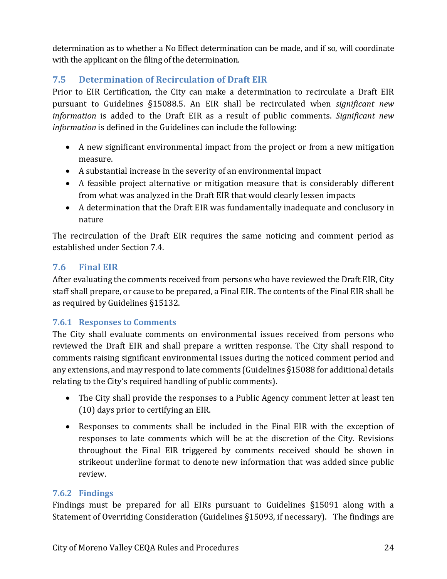determination as to whether a No Effect determination can be made, and if so, will coordinate with the applicant on the filing of the determination.

## **7.5 Determination of Recirculation of Draft EIR**

Prior to EIR Certification, the City can make a determination to recirculate a Draft EIR pursuant to Guidelines §15088.5. An EIR shall be recirculated when *significant new information* is added to the Draft EIR as a result of public comments. *Significant new information* is defined in the Guidelines can include the following:

- A new significant environmental impact from the project or from a new mitigation measure.
- A substantial increase in the severity of an environmental impact
- A feasible project alternative or mitigation measure that is considerably different from what was analyzed in the Draft EIR that would clearly lessen impacts
- A determination that the Draft EIR was fundamentally inadequate and conclusory in nature

The recirculation of the Draft EIR requires the same noticing and comment period as established under Section 7.4.

## **7.6 Final EIR**

After evaluating the comments received from persons who have reviewed the Draft EIR, City staff shall prepare, or cause to be prepared, a Final EIR. The contents of the Final EIR shall be as required by Guidelines §15132.

#### **7.6.1 Responses to Comments**

The City shall evaluate comments on environmental issues received from persons who reviewed the Draft EIR and shall prepare a written response. The City shall respond to comments raising significant environmental issues during the noticed comment period and any extensions, and may respond to late comments (Guidelines §15088 for additional details relating to the City's required handling of public comments).

- The City shall provide the responses to a Public Agency comment letter at least ten (10) days prior to certifying an EIR.
- Responses to comments shall be included in the Final EIR with the exception of responses to late comments which will be at the discretion of the City. Revisions throughout the Final EIR triggered by comments received should be shown in strikeout underline format to denote new information that was added since public review.

#### **7.6.2 Findings**

Findings must be prepared for all EIRs pursuant to Guidelines §15091 along with a Statement of Overriding Consideration (Guidelines §15093, if necessary). The findings are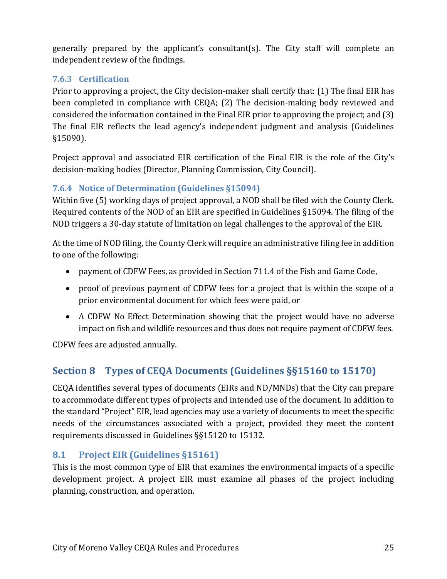generally prepared by the applicant's consultant(s). The City staff will complete an independent review of the findings.

## **7.6.3 Certification**

Prior to approving a project, the City decision-maker shall certify that: (1) The final EIR has been completed in compliance with CEQA; (2) The decision-making body reviewed and considered the information contained in the Final EIR prior to approving the project; and (3) The final EIR reflects the lead agency's independent judgment and analysis (Guidelines §15090).

Project approval and associated EIR certification of the Final EIR is the role of the City's decision-making bodies (Director, Planning Commission, City Council).

## **7.6.4 Notice of Determination (Guidelines §15094)**

Within five (5) working days of project approval, a NOD shall be filed with the County Clerk. Required contents of the NOD of an EIR are specified in Guidelines §15094. The filing of the NOD triggers a 30-day statute of limitation on legal challenges to the approval of the EIR.

At the time of NOD filing, the County Clerk will require an administrative filing fee in addition to one of the following:

- payment of CDFW Fees, as provided in Section 711.4 of the Fish and Game Code,
- proof of previous payment of CDFW fees for a project that is within the scope of a prior environmental document for which fees were paid, or
- A CDFW No Effect Determination showing that the project would have no adverse impact on fish and wildlife resources and thus does not require payment of CDFW fees.

CDFW fees are adjusted annually.

# **Section 8 Types of CEQA Documents (Guidelines §§15160 to 15170)**

CEQA identifies several types of documents (EIRs and ND/MNDs) that the City can prepare to accommodate different types of projects and intended use of the document. In addition to the standard "Project" EIR, lead agencies may use a variety of documents to meet the specific needs of the circumstances associated with a project, provided they meet the content requirements discussed in Guidelines §§15120 to 15132.

## **8.1 Project EIR (Guidelines §15161)**

This is the most common type of EIR that examines the environmental impacts of a specific development project. A project EIR must examine all phases of the project including planning, construction, and operation.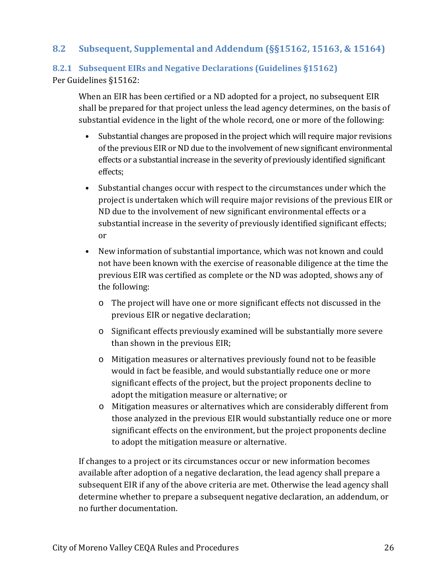## **8.2 Subsequent, Supplemental and Addendum (§§15162, 15163, & 15164)**

#### **8.2.1 Subsequent EIRs and Negative Declarations (Guidelines §15162)** Per Guidelines §15162:

When an EIR has been certified or a ND adopted for a project, no subsequent EIR shall be prepared for that project unless the lead agency determines, on the basis of substantial evidence in the light of the whole record, one or more of the following:

- Substantial changes are proposed in the project which will require major revisions of the previous EIR or ND due to the involvement of new significant environmental effects or a substantial increase in the severity of previously identified significant effects;
- Substantial changes occur with respect to the circumstances under which the project is undertaken which will require major revisions of the previous EIR or ND due to the involvement of new significant environmental effects or a substantial increase in the severity of previously identified significant effects; or
- New information of substantial importance, which was not known and could not have been known with the exercise of reasonable diligence at the time the previous EIR was certified as complete or the ND was adopted, shows any of the following:
	- o The project will have one or more significant effects not discussed in the previous EIR or negative declaration;
	- o Significant effects previously examined will be substantially more severe than shown in the previous EIR;
	- o Mitigation measures or alternatives previously found not to be feasible would in fact be feasible, and would substantially reduce one or more significant effects of the project, but the project proponents decline to adopt the mitigation measure or alternative; or
	- o Mitigation measures or alternatives which are considerably different from those analyzed in the previous EIR would substantially reduce one or more significant effects on the environment, but the project proponents decline to adopt the mitigation measure or alternative.

If changes to a project or its circumstances occur or new information becomes available after adoption of a negative declaration, the lead agency shall prepare a subsequent EIR if any of the above criteria are met. Otherwise the lead agency shall determine whether to prepare a subsequent negative declaration, an addendum, or no further documentation.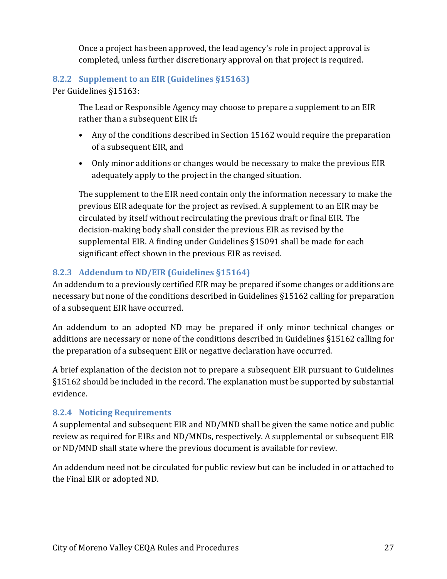Once a project has been approved, the lead agency's role in project approval is completed, unless further discretionary approval on that project is required.

#### **8.2.2 Supplement to an EIR (Guidelines §15163)**

Per Guidelines §15163:

The Lead or Responsible Agency may choose to prepare a supplement to an EIR rather than a subsequent EIR if**:** 

- Any of the conditions described in Section 15162 would require the preparation of a subsequent EIR, and
- Only minor additions or changes would be necessary to make the previous EIR adequately apply to the project in the changed situation.

The supplement to the EIR need contain only the information necessary to make the previous EIR adequate for the project as revised. A supplement to an EIR may be circulated by itself without recirculating the previous draft or final EIR. The decision-making body shall consider the previous EIR as revised by the supplemental EIR. A finding under Guidelines §15091 shall be made for each significant effect shown in the previous EIR as revised.

## **8.2.3 Addendum to ND/EIR (Guidelines §15164)**

An addendum to a previously certified EIR may be prepared if some changes or additions are necessary but none of the conditions described in Guidelines §15162 calling for preparation of a subsequent EIR have occurred.

An addendum to an adopted ND may be prepared if only minor technical changes or additions are necessary or none of the conditions described in Guidelines §15162 calling for the preparation of a subsequent EIR or negative declaration have occurred.

A brief explanation of the decision not to prepare a subsequent EIR pursuant to Guidelines §15162 should be included in the record. The explanation must be supported by substantial evidence.

#### **8.2.4 Noticing Requirements**

A supplemental and subsequent EIR and ND/MND shall be given the same notice and public review as required for EIRs and ND/MNDs, respectively. A supplemental or subsequent EIR or ND/MND shall state where the previous document is available for review.

An addendum need not be circulated for public review but can be included in or attached to the Final EIR or adopted ND.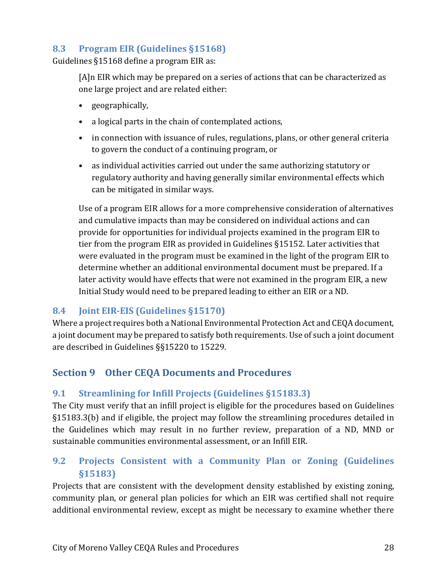## **8.3 Program EIR (Guidelines §15168)**

Guidelines §15168 define a program EIR as:

[A]n EIR which may be prepared on a series of actions that can be characterized as one large project and are related either:

- geographically,
- a logical parts in the chain of contemplated actions,
- in connection with issuance of rules, regulations, plans, or other general criteria to govern the conduct of a continuing program, or
- as individual activities carried out under the same authorizing statutory or regulatory authority and having generally similar environmental effects which can be mitigated in similar ways.

Use of a program EIR allows for a more comprehensive consideration of alternatives and cumulative impacts than may be considered on individual actions and can provide for opportunities for individual projects examined in the program EIR to tier from the program EIR as provided in Guidelines §15152. Later activities that were evaluated in the program must be examined in the light of the program EIR to determine whether an additional environmental document must be prepared. If a later activity would have effects that were not examined in the program EIR, a new Initial Study would need to be prepared leading to either an EIR or a ND.

## **8.4 Joint EIR-EIS (Guidelines §15170)**

Where a project requires both a National Environmental Protection Act and CEQA document, a joint document may be prepared to satisfy both requirements. Use of such a joint document are described in Guidelines §§15220 to 15229.

## **Section 9 Other CEQA Documents and Procedures**

## **9.1 Streamlining for Infill Projects (Guidelines §15183.3)**

The City must verify that an infill project is eligible for the procedures based on Guidelines §15183.3(b) and if eligible, the project may follow the streamlining procedures detailed in the Guidelines which may result in no further review, preparation of a ND, MND or sustainable communities environmental assessment, or an Infill EIR.

## **9.2 Projects Consistent with a Community Plan or Zoning (Guidelines §15183)**

Projects that are consistent with the development density established by existing zoning, community plan, or general plan policies for which an EIR was certified shall not require additional environmental review, except as might be necessary to examine whether there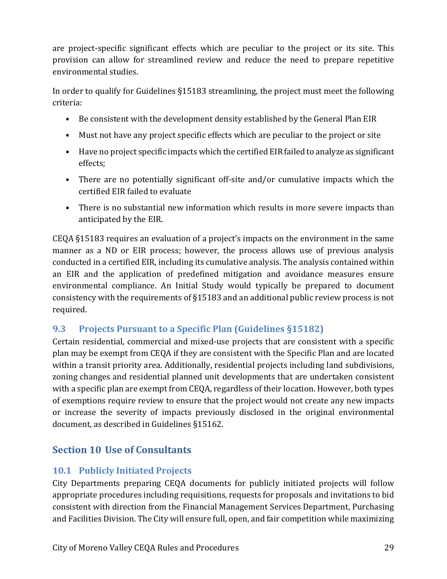are project-specific significant effects which are peculiar to the project or its site. This provision can allow for streamlined review and reduce the need to prepare repetitive environmental studies.

In order to qualify for Guidelines §15183 streamlining, the project must meet the following criteria:

- Be consistent with the development density established by the General Plan EIR
- Must not have any project specific effects which are peculiar to the project or site
- Have no project specific impacts which the certified EIR failed to analyze as significant effects;
- There are no potentially significant off-site and/or cumulative impacts which the certified EIR failed to evaluate
- There is no substantial new information which results in more severe impacts than anticipated by the EIR.

CEQA §15183 requires an evaluation of a project's impacts on the environment in the same manner as a ND or EIR process; however, the process allows use of previous analysis conducted in a certified EIR, including its cumulative analysis. The analysis contained within an EIR and the application of predefined mitigation and avoidance measures ensure environmental compliance. An Initial Study would typically be prepared to document consistency with the requirements of §15183 and an additional public review process is not required.

## **9.3 Projects Pursuant to a Specific Plan (Guidelines §15182)**

Certain residential, commercial and mixed-use projects that are consistent with a specific plan may be exempt from CEQA if they are consistent with the Specific Plan and are located within a transit priority area. Additionally, residential projects including land subdivisions, zoning changes and residential planned unit developments that are undertaken consistent with a specific plan are exempt from CEQA, regardless of their location. However, both types of exemptions require review to ensure that the project would not create any new impacts or increase the severity of impacts previously disclosed in the original environmental document, as described in Guidelines §15162.

# **Section 10 Use of Consultants**

## **10.1 Publicly Initiated Projects**

City Departments preparing CEQA documents for publicly initiated projects will follow appropriate procedures including requisitions, requests for proposals and invitations to bid consistent with direction from the Financial Management Services Department, Purchasing and Facilities Division. The City will ensure full, open, and fair competition while maximizing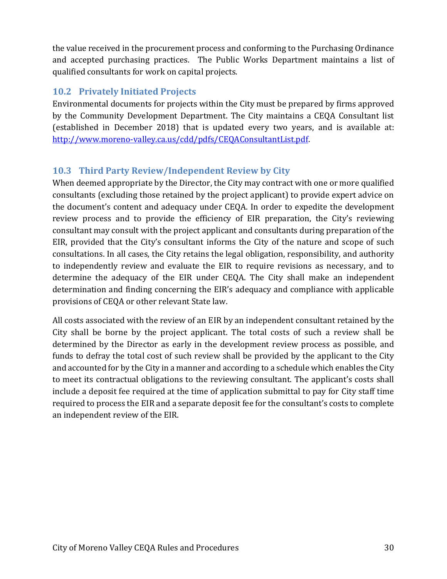the value received in the procurement process and conforming to the Purchasing Ordinance and accepted purchasing practices. The Public Works Department maintains a list of qualified consultants for work on capital projects.

## **10.2 Privately Initiated Projects**

Environmental documents for projects within the City must be prepared by firms approved by the Community Development Department. The City maintains a CEQA Consultant list (established in December 2018) that is updated every two years, and is available at: [http://www.moreno-valley.ca.us/cdd/pdfs/CEQAConsultantList.pdf.](http://www.moreno-valley.ca.us/cdd/pdfs/CEQAConsultantList.pdf) 

## **10.3 Third Party Review/Independent Review by City**

When deemed appropriate by the Director, the City may contract with one or more qualified consultants (excluding those retained by the project applicant) to provide expert advice on the document's content and adequacy under CEQA. In order to expedite the development review process and to provide the efficiency of EIR preparation, the City's reviewing consultant may consult with the project applicant and consultants during preparation of the EIR, provided that the City's consultant informs the City of the nature and scope of such consultations. In all cases, the City retains the legal obligation, responsibility, and authority to independently review and evaluate the EIR to require revisions as necessary, and to determine the adequacy of the EIR under CEQA. The City shall make an independent determination and finding concerning the EIR's adequacy and compliance with applicable provisions of CEQA or other relevant State law.

All costs associated with the review of an EIR by an independent consultant retained by the City shall be borne by the project applicant. The total costs of such a review shall be determined by the Director as early in the development review process as possible, and funds to defray the total cost of such review shall be provided by the applicant to the City and accounted for by the City in a manner and according to a schedule which enables the City to meet its contractual obligations to the reviewing consultant. The applicant's costs shall include a deposit fee required at the time of application submittal to pay for City staff time required to process the EIR and a separate deposit fee for the consultant's costs to complete an independent review of the EIR.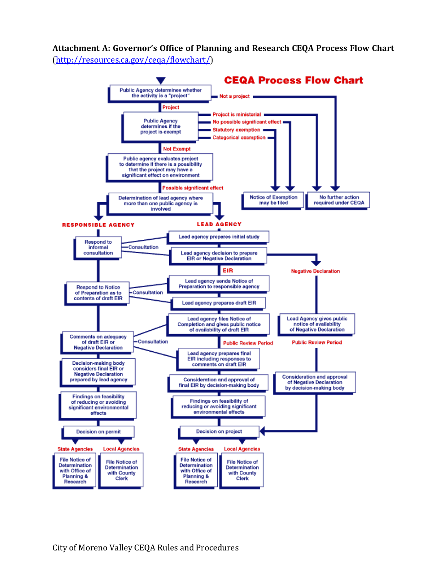<span id="page-30-0"></span>**Attachment A: Governor's Office of Planning and Research CEQA Process Flow Chart**

[\(http://resources.ca.gov/ceqa/flowchart/\)](http://resources.ca.gov/ceqa/flowchart/)